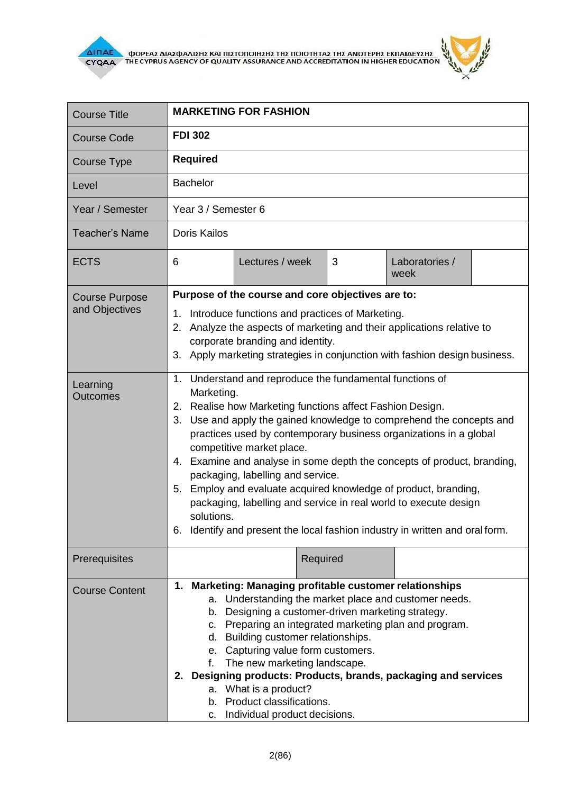

٦

п

ı.

| <b>Course Title</b>                     | <b>MARKETING FOR FASHION</b>                                                                                                                                                                                                                                                                                                                                                                                                                                                                                                                                                                           |
|-----------------------------------------|--------------------------------------------------------------------------------------------------------------------------------------------------------------------------------------------------------------------------------------------------------------------------------------------------------------------------------------------------------------------------------------------------------------------------------------------------------------------------------------------------------------------------------------------------------------------------------------------------------|
| <b>Course Code</b>                      | <b>FDI 302</b>                                                                                                                                                                                                                                                                                                                                                                                                                                                                                                                                                                                         |
| Course Type                             | <b>Required</b>                                                                                                                                                                                                                                                                                                                                                                                                                                                                                                                                                                                        |
| Level                                   | <b>Bachelor</b>                                                                                                                                                                                                                                                                                                                                                                                                                                                                                                                                                                                        |
| Year / Semester                         | Year 3 / Semester 6                                                                                                                                                                                                                                                                                                                                                                                                                                                                                                                                                                                    |
| <b>Teacher's Name</b>                   | <b>Doris Kailos</b>                                                                                                                                                                                                                                                                                                                                                                                                                                                                                                                                                                                    |
| <b>ECTS</b>                             | 6<br>Lectures / week<br>3<br>Laboratories /<br>week                                                                                                                                                                                                                                                                                                                                                                                                                                                                                                                                                    |
| <b>Course Purpose</b><br>and Objectives | Purpose of the course and core objectives are to:                                                                                                                                                                                                                                                                                                                                                                                                                                                                                                                                                      |
|                                         | 1. Introduce functions and practices of Marketing.<br>Analyze the aspects of marketing and their applications relative to<br>2.<br>corporate branding and identity.<br>Apply marketing strategies in conjunction with fashion design business.<br>3.<br>1. Understand and reproduce the fundamental functions of                                                                                                                                                                                                                                                                                       |
| Learning<br><b>Outcomes</b>             | Marketing.<br>2. Realise how Marketing functions affect Fashion Design.<br>3. Use and apply the gained knowledge to comprehend the concepts and<br>practices used by contemporary business organizations in a global<br>competitive market place.<br>4. Examine and analyse in some depth the concepts of product, branding,<br>packaging, labelling and service.<br>5. Employ and evaluate acquired knowledge of product, branding,<br>packaging, labelling and service in real world to execute design<br>solutions.<br>6. Identify and present the local fashion industry in written and oral form. |
| Prerequisites                           | Required                                                                                                                                                                                                                                                                                                                                                                                                                                                                                                                                                                                               |
| <b>Course Content</b>                   | 1. Marketing: Managing profitable customer relationships<br>a. Understanding the market place and customer needs.<br>b. Designing a customer-driven marketing strategy.<br>c. Preparing an integrated marketing plan and program.<br>d. Building customer relationships.<br>e. Capturing value form customers.<br>f. The new marketing landscape.<br>2. Designing products: Products, brands, packaging and services<br>a. What is a product?<br>b. Product classifications.<br>Individual product decisions.<br>C.                                                                                    |